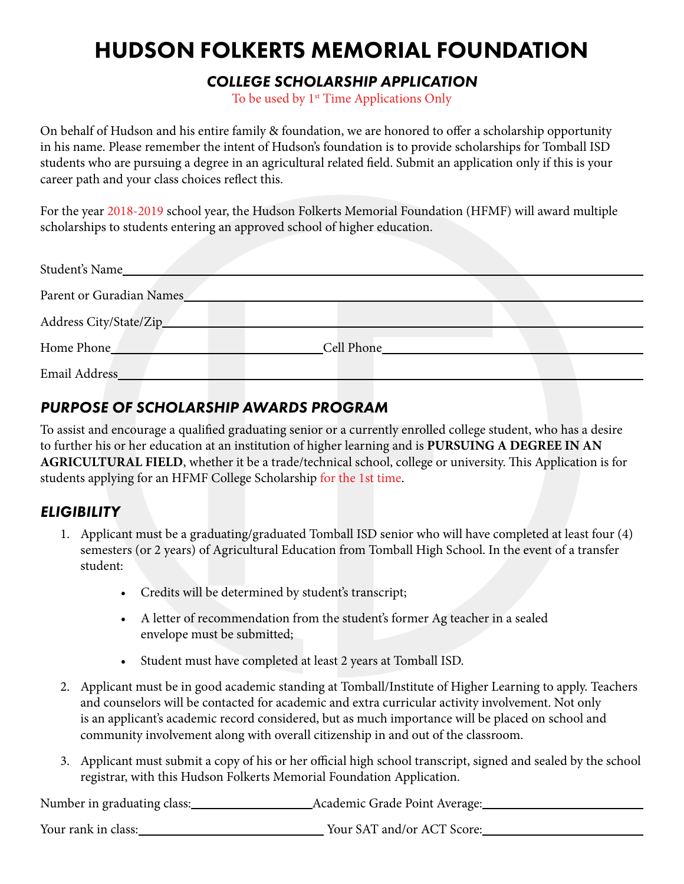# HUDSON FOLKERTS MEMORIAL FOUNDATION

### *COLLEGE SCHOLARSHIP APPLICATION*

To be used by 1<sup>st</sup> Time Applications Only

On behalf of Hudson and his entire family & foundation, we are honored to offer a scholarship opportunity in his name. Please remember the intent of Hudson's foundation is to provide scholarships for Tomball ISD students who are pursuing a degree in an agricultural related field. Submit an application only if this is your career path and your class choices reflect this.

For the year 2018-2019 school year, the Hudson Folkerts Memorial Foundation (HFMF) will award multiple scholarships to students entering an approved school of higher education.

| Student's Name_          |            |  |
|--------------------------|------------|--|
| Parent or Guradian Names |            |  |
| Address City/State/Zip_  |            |  |
| Home Phone               | Cell Phone |  |
| Email Address_           |            |  |

# *PURPOSE OF SCHOLARSHIP AWARDS PROGRAM*

To assist and encourage a qualified graduating senior or a currently enrolled college student, who has a desire to further his or her education at an institution of higher learning and is **PURSUING A DEGREE IN AN AGRICULTURAL FIELD**, whether it be a trade/technical school, college or university. This Application is for students applying for an HFMF College Scholarship for the 1st time.

# *ELIGIBILITY*

- 1. Applicant must be a graduating/graduated Tomball ISD senior who will have completed at least four (4) semesters (or 2 years) of Agricultural Education from Tomball High School. In the event of a transfer student:
	- Credits will be determined by student's transcript;
	- A letter of recommendation from the student's former Ag teacher in a sealed envelope must be submitted;
	- Student must have completed at least 2 years at Tomball ISD.
- 2. Applicant must be in good academic standing at Tomball/Institute of Higher Learning to apply. Teachers and counselors will be contacted for academic and extra curricular activity involvement. Not only is an applicant's academic record considered, but as much importance will be placed on school and community involvement along with overall citizenship in and out of the classroom.
- 3. Applicant must submit a copy of his or her official high school transcript, signed and sealed by the school registrar, with this Hudson Folkerts Memorial Foundation Application.

Number in graduating class: Academic Grade Point Average:

Your rank in class: Your SAT and/or ACT Score: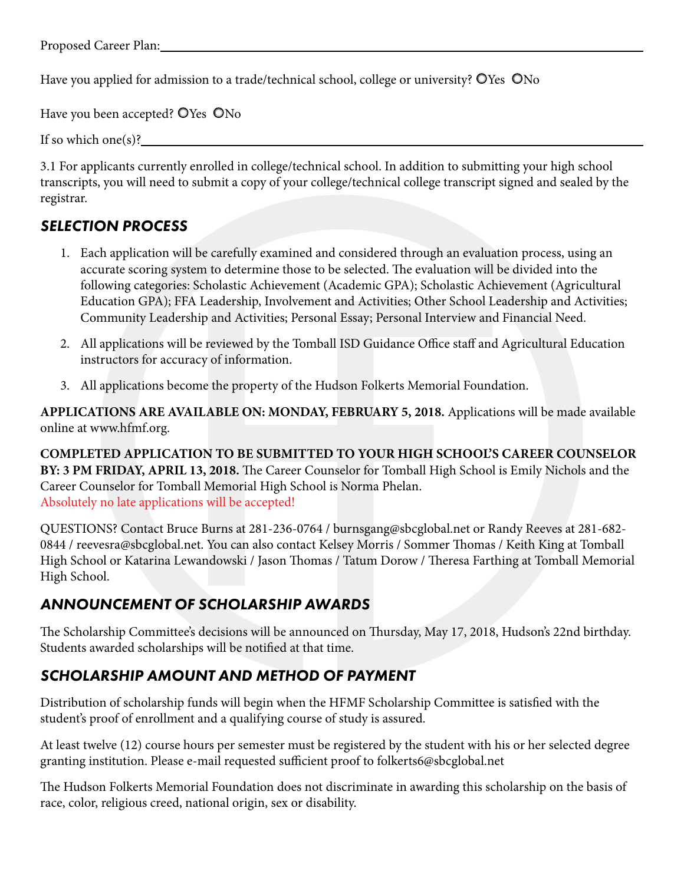Have you applied for admission to a trade/technical school, college or university? OYes ONo

Have you been accepted? OYes ONo

If so which one(s)? $\Box$ 

3.1 For applicants currently enrolled in college/technical school. In addition to submitting your high school transcripts, you will need to submit a copy of your college/technical college transcript signed and sealed by the registrar.

### *SELECTION PROCESS*

- 1. Each application will be carefully examined and considered through an evaluation process, using an accurate scoring system to determine those to be selected. The evaluation will be divided into the following categories: Scholastic Achievement (Academic GPA); Scholastic Achievement (Agricultural Education GPA); FFA Leadership, Involvement and Activities; Other School Leadership and Activities; Community Leadership and Activities; Personal Essay; Personal Interview and Financial Need.
- 2. All applications will be reviewed by the Tomball ISD Guidance Office staff and Agricultural Education instructors for accuracy of information.
- 3. All applications become the property of the Hudson Folkerts Memorial Foundation.

**APPLICATIONS ARE AVAILABLE ON: MONDAY, FEBRUARY 5, 2018.** Applications will be made available online at www.hfmf.org.

**COMPLETED APPLICATION TO BE SUBMITTED TO YOUR HIGH SCHOOL'S CAREER COUNSELOR BY: 3 PM FRIDAY, APRIL 13, 2018.** The Career Counselor for Tomball High School is Emily Nichols and the Career Counselor for Tomball Memorial High School is Norma Phelan. Absolutely no late applications will be accepted!

QUESTIONS? Contact Bruce Burns at 281-236-0764 / burnsgang@sbcglobal.net or Randy Reeves at 281-682- 0844 / reevesra@sbcglobal.net. You can also contact Kelsey Morris / Sommer Thomas / Keith King at Tomball High School or Katarina Lewandowski / Jason Thomas / Tatum Dorow / Theresa Farthing at Tomball Memorial High School.

# *ANNOUNCEMENT OF SCHOLARSHIP AWARDS*

The Scholarship Committee's decisions will be announced on Thursday, May 17, 2018, Hudson's 22nd birthday. Students awarded scholarships will be notified at that time.

### *SCHOLARSHIP AMOUNT AND METHOD OF PAYMENT*

Distribution of scholarship funds will begin when the HFMF Scholarship Committee is satisfied with the student's proof of enrollment and a qualifying course of study is assured.

At least twelve (12) course hours per semester must be registered by the student with his or her selected degree granting institution. Please e-mail requested sufficient proof to folkerts6@sbcglobal.net

The Hudson Folkerts Memorial Foundation does not discriminate in awarding this scholarship on the basis of race, color, religious creed, national origin, sex or disability.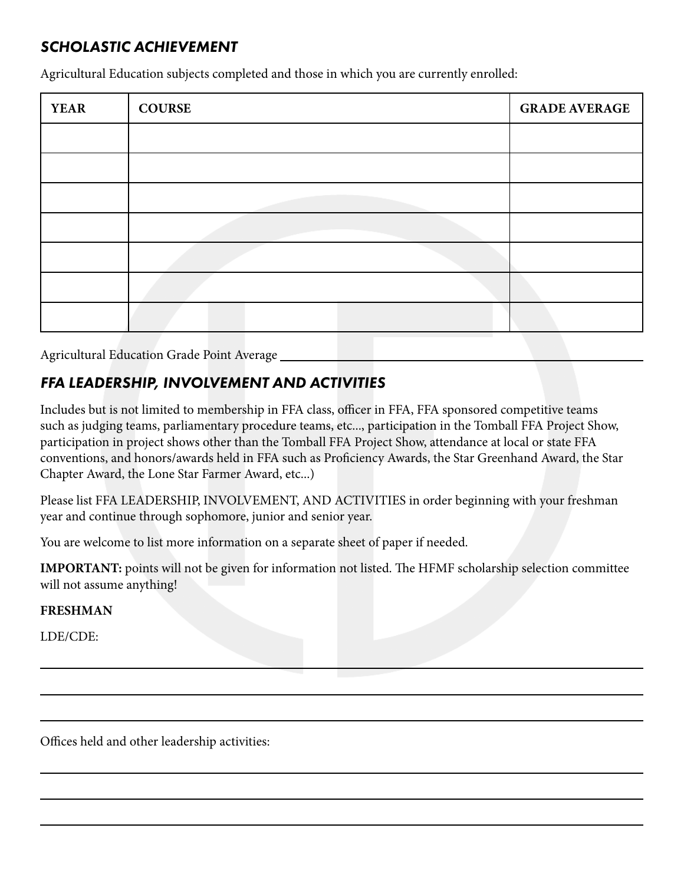### *SCHOLASTIC ACHIEVEMENT*

Agricultural Education subjects completed and those in which you are currently enrolled:

| <b>YEAR</b> | <b>COURSE</b> | <b>GRADE AVERAGE</b> |
|-------------|---------------|----------------------|
|             |               |                      |
|             |               |                      |
|             |               |                      |
|             |               |                      |
|             |               |                      |
|             |               |                      |
|             |               |                      |

Agricultural Education Grade Point Average

# *FFA LEADERSHIP, INVOLVEMENT AND ACTIVITIES*

Includes but is not limited to membership in FFA class, officer in FFA, FFA sponsored competitive teams such as judging teams, parliamentary procedure teams, etc..., participation in the Tomball FFA Project Show, participation in project shows other than the Tomball FFA Project Show, attendance at local or state FFA conventions, and honors/awards held in FFA such as Proficiency Awards, the Star Greenhand Award, the Star Chapter Award, the Lone Star Farmer Award, etc...)

Please list FFA LEADERSHIP, INVOLVEMENT, AND ACTIVITIES in order beginning with your freshman year and continue through sophomore, junior and senior year.

You are welcome to list more information on a separate sheet of paper if needed.

**IMPORTANT:** points will not be given for information not listed. The HFMF scholarship selection committee will not assume anything!

#### **FRESHMAN**

LDE/CDE:

Offices held and other leadership activities: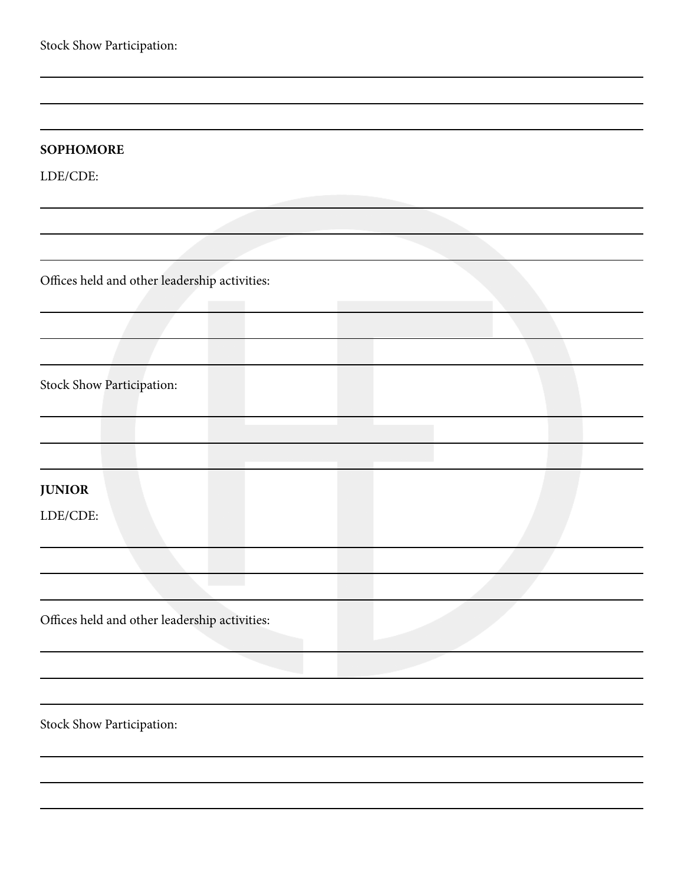Stock Show Participation:

LDE/CDE:

Offices held and other leadership activities:

Stock Show Participation:

**JUNIOR**

LDE/CDE:

Offices held and other leadership activities:

Stock Show Participation: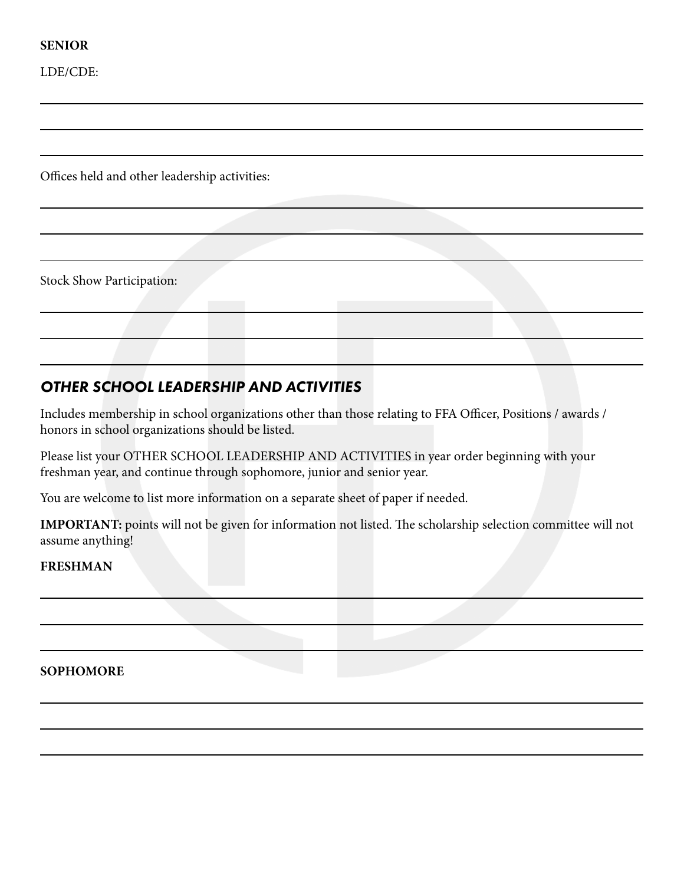#### **SENIOR**

LDE/CDE:

Offices held and other leadership activities:

Stock Show Participation:

### *OTHER SCHOOL LEADERSHIP AND ACTIVITIES*

Includes membership in school organizations other than those relating to FFA Officer, Positions / awards / honors in school organizations should be listed.

Please list your OTHER SCHOOL LEADERSHIP AND ACTIVITIES in year order beginning with your freshman year, and continue through sophomore, junior and senior year.

You are welcome to list more information on a separate sheet of paper if needed.

**IMPORTANT:** points will not be given for information not listed. The scholarship selection committee will not assume anything!

#### **FRESHMAN**

**SOPHOMORE**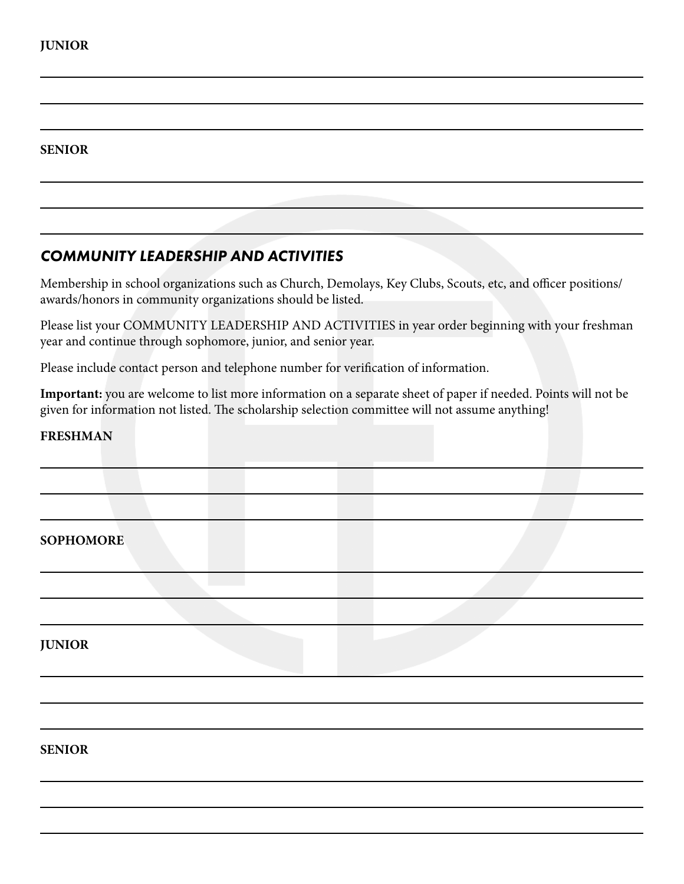#### **SENIOR**

# *COMMUNITY LEADERSHIP AND ACTIVITIES*

Membership in school organizations such as Church, Demolays, Key Clubs, Scouts, etc, and officer positions/ awards/honors in community organizations should be listed.

Please list your COMMUNITY LEADERSHIP AND ACTIVITIES in year order beginning with your freshman year and continue through sophomore, junior, and senior year.

Please include contact person and telephone number for verification of information.

**Important:** you are welcome to list more information on a separate sheet of paper if needed. Points will not be given for information not listed. The scholarship selection committee will not assume anything!

#### **FRESHMAN**

| <b>SOPHOMORE</b> |  |
|------------------|--|
|                  |  |
|                  |  |
| <b>JUNIOR</b>    |  |
|                  |  |
|                  |  |
| <b>SENIOR</b>    |  |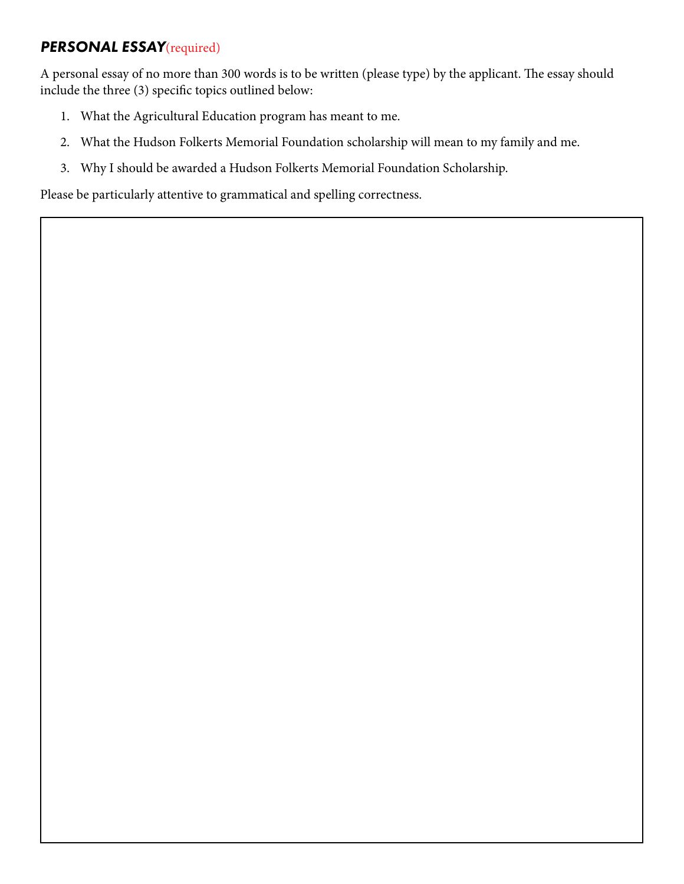# *PERSONAL ESSAY*(required)

A personal essay of no more than 300 words is to be written (please type) by the applicant. The essay should include the three (3) specific topics outlined below:

- 1. What the Agricultural Education program has meant to me.
- 2. What the Hudson Folkerts Memorial Foundation scholarship will mean to my family and me.
- 3. Why I should be awarded a Hudson Folkerts Memorial Foundation Scholarship.

Please be particularly attentive to grammatical and spelling correctness.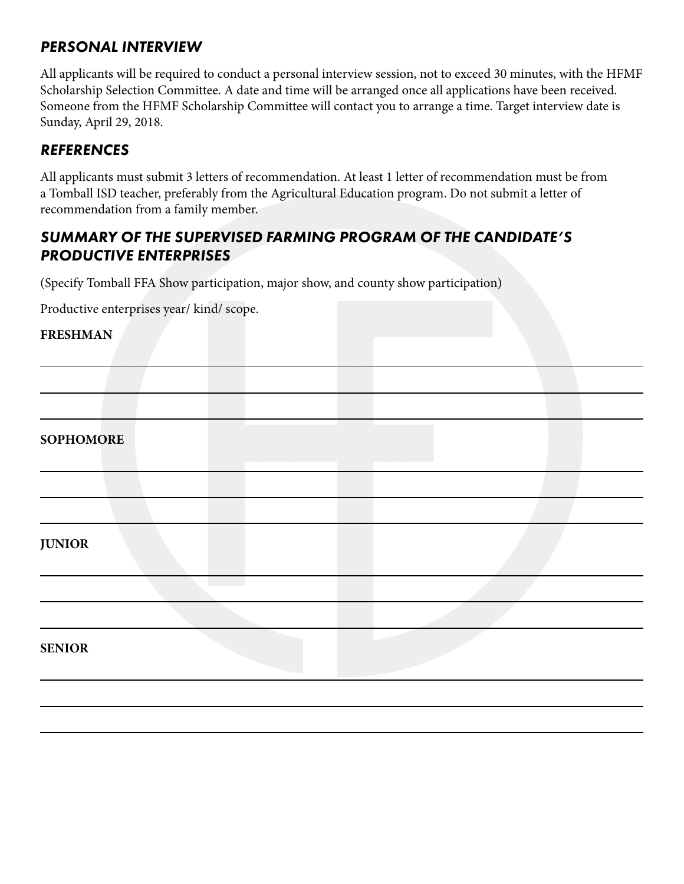### *PERSONAL INTERVIEW*

All applicants will be required to conduct a personal interview session, not to exceed 30 minutes, with the HFMF Scholarship Selection Committee. A date and time will be arranged once all applications have been received. Someone from the HFMF Scholarship Committee will contact you to arrange a time. Target interview date is Sunday, April 29, 2018.

### *REFERENCES*

All applicants must submit 3 letters of recommendation. At least 1 letter of recommendation must be from a Tomball ISD teacher, preferably from the Agricultural Education program. Do not submit a letter of recommendation from a family member.

# *SUMMARY OF THE SUPERVISED FARMING PROGRAM OF THE CANDIDATE'S PRODUCTIVE ENTERPRISES*

(Specify Tomball FFA Show participation, major show, and county show participation)

Productive enterprises year/ kind/ scope.

#### **FRESHMAN**

| <b>SOPHOMORE</b> |  |
|------------------|--|
|                  |  |
|                  |  |
| <b>JUNIOR</b>    |  |
|                  |  |
|                  |  |
| <b>SENIOR</b>    |  |
|                  |  |